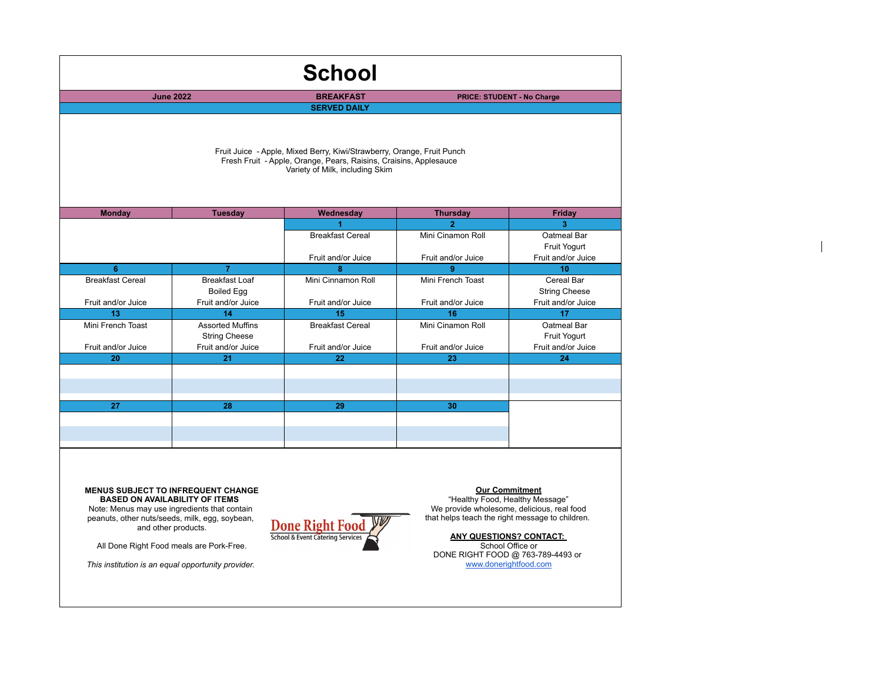| <b>School</b>                                                                                                                                                                  |                                                                  |                                               |                                                           |                                                          |  |  |  |  |
|--------------------------------------------------------------------------------------------------------------------------------------------------------------------------------|------------------------------------------------------------------|-----------------------------------------------|-----------------------------------------------------------|----------------------------------------------------------|--|--|--|--|
| <b>June 2022</b>                                                                                                                                                               |                                                                  | <b>BREAKFAST</b>                              |                                                           | <b>PRICE: STUDENT - No Charge</b>                        |  |  |  |  |
|                                                                                                                                                                                |                                                                  | <b>SERVED DAILY</b>                           |                                                           |                                                          |  |  |  |  |
| Fruit Juice - Apple, Mixed Berry, Kiwi/Strawberry, Orange, Fruit Punch<br>Fresh Fruit - Apple, Orange, Pears, Raisins, Craisins, Applesauce<br>Variety of Milk, including Skim |                                                                  |                                               |                                                           |                                                          |  |  |  |  |
| <b>Monday</b>                                                                                                                                                                  | <b>Tuesday</b>                                                   | Wednesday                                     | <b>Thursday</b>                                           | Friday                                                   |  |  |  |  |
|                                                                                                                                                                                |                                                                  | <b>Breakfast Cereal</b><br>Fruit and/or Juice | $\overline{2}$<br>Mini Cinamon Roll<br>Fruit and/or Juice | 3<br>Oatmeal Bar<br>Fruit Yogurt<br>Fruit and/or Juice   |  |  |  |  |
| 6                                                                                                                                                                              | $\overline{7}$                                                   | $\mathbf{a}$                                  | 9                                                         | 10                                                       |  |  |  |  |
| <b>Breakfast Cereal</b><br>Fruit and/or Juice                                                                                                                                  | <b>Breakfast Loaf</b><br><b>Boiled Egg</b><br>Fruit and/or Juice | Mini Cinnamon Roll<br>Fruit and/or Juice      | Mini French Toast<br>Fruit and/or Juice                   | Cereal Bar<br><b>String Cheese</b><br>Fruit and/or Juice |  |  |  |  |
| 13                                                                                                                                                                             | 14                                                               | 15                                            | 16                                                        | 17                                                       |  |  |  |  |
| Mini French Toast                                                                                                                                                              | <b>Assorted Muffins</b><br><b>String Cheese</b>                  | <b>Breakfast Cereal</b>                       | Mini Cinamon Roll                                         | Oatmeal Bar<br>Fruit Yogurt                              |  |  |  |  |
| Fruit and/or Juice                                                                                                                                                             | Fruit and/or Juice                                               | Fruit and/or Juice                            | Fruit and/or Juice                                        | Fruit and/or Juice                                       |  |  |  |  |
| 20                                                                                                                                                                             | 21                                                               | 22                                            | 23                                                        | 24                                                       |  |  |  |  |
|                                                                                                                                                                                |                                                                  |                                               |                                                           |                                                          |  |  |  |  |
|                                                                                                                                                                                |                                                                  |                                               |                                                           |                                                          |  |  |  |  |
| 27                                                                                                                                                                             | 28                                                               | 29                                            | 30                                                        |                                                          |  |  |  |  |
|                                                                                                                                                                                |                                                                  |                                               |                                                           |                                                          |  |  |  |  |
|                                                                                                                                                                                |                                                                  |                                               |                                                           |                                                          |  |  |  |  |
|                                                                                                                                                                                |                                                                  |                                               |                                                           |                                                          |  |  |  |  |

**MENUS SUBJECT TO INFREQUENT CHANGE BASED ON AVAILABILITY OF ITEMS**  Note: Menus may use ingredients that contain peanuts, other nuts/seeds, milk, egg, soybean, and other products.



All Done Right Food meals are Pork-Free.

*This institution is an equal opportunity provider.* 

**Our Commitment**

"Healthy Food, Healthy Message" We provide wholesome, delicious, real food that helps teach the right message to children.

**ANY QUESTIONS? CONTACT:** 

School Office or DONE RIGHT FOOD @ 763-789-4493 or www.donerightfood.com